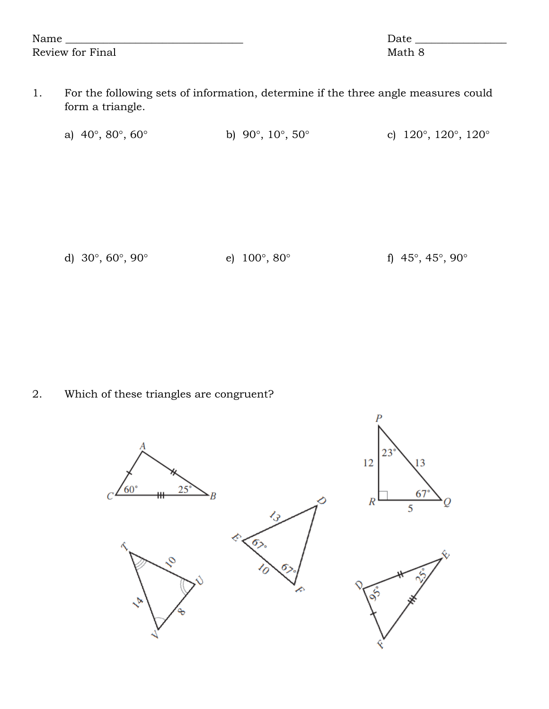| Name                    | Date   |
|-------------------------|--------|
| <b>Review for Final</b> | Math 8 |

1. For the following sets of information, determine if the three angle measures could form a triangle.

| a) $40^{\circ}, 80^{\circ}, 60^{\circ}$ | b) 90 $^{\circ}$ , 10 $^{\circ}$ , 50 $^{\circ}$ | c) $120^\circ$ , $120^\circ$ , $120^\circ$ |
|-----------------------------------------|--------------------------------------------------|--------------------------------------------|
|                                         |                                                  |                                            |

d)  $30^{\circ}$ ,  $60^{\circ}$ ,  $90^{\circ}$  e)  $100^{\circ}$ ,  $80^{\circ}$  f)  $45^{\circ}$ ,  $45^{\circ}$ ,  $90^{\circ}$ 

2. Which of these triangles are congruent?

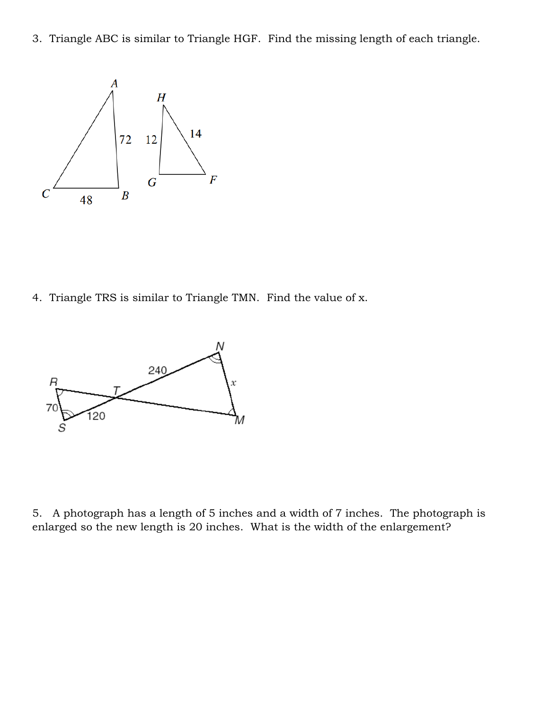3. Triangle ABC is similar to Triangle HGF. Find the missing length of each triangle.



4. Triangle TRS is similar to Triangle TMN. Find the value of x.



5. A photograph has a length of 5 inches and a width of 7 inches. The photograph is enlarged so the new length is 20 inches. What is the width of the enlargement?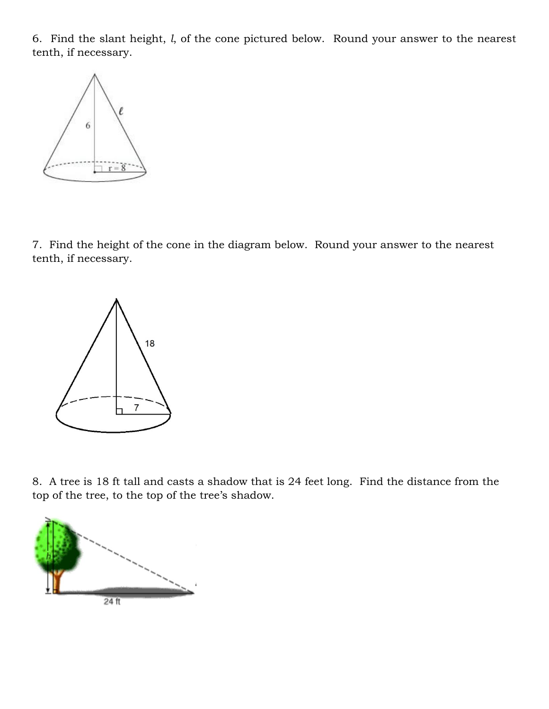6. Find the slant height, *l*, of the cone pictured below. Round your answer to the nearest tenth, if necessary.



7. Find the height of the cone in the diagram below. Round your answer to the nearest tenth, if necessary.



8. A tree is 18 ft tall and casts a shadow that is 24 feet long. Find the distance from the top of the tree, to the top of the tree's shadow.